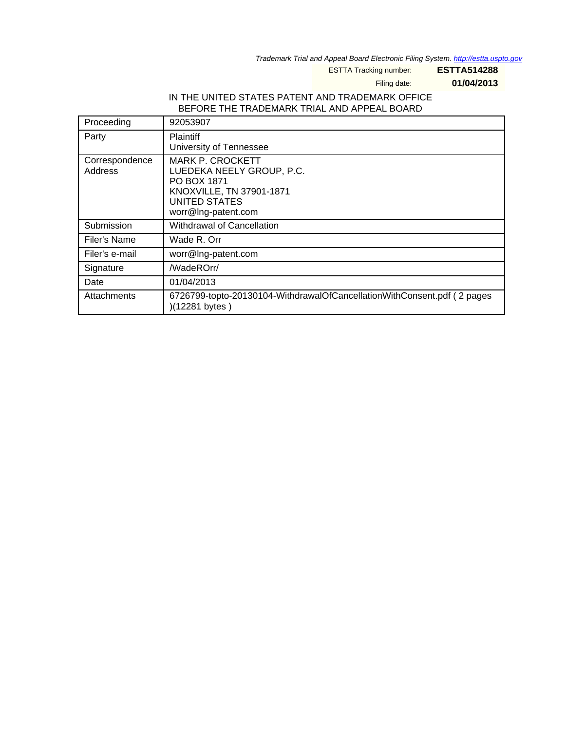Trademark Trial and Appeal Board Electronic Filing System. <http://estta.uspto.gov>

ESTTA Tracking number: **ESTTA514288**

Filing date: **01/04/2013**

## IN THE UNITED STATES PATENT AND TRADEMARK OFFICE BEFORE THE TRADEMARK TRIAL AND APPEAL BOARD

| Proceeding                | 92053907                                                                                                                                       |
|---------------------------|------------------------------------------------------------------------------------------------------------------------------------------------|
| Party                     | <b>Plaintiff</b><br>University of Tennessee                                                                                                    |
| Correspondence<br>Address | <b>MARK P. CROCKETT</b><br>LUEDEKA NEELY GROUP, P.C.<br>PO BOX 1871<br>KNOXVILLE, TN 37901-1871<br><b>UNITED STATES</b><br>worr@Ing-patent.com |
| Submission                | Withdrawal of Cancellation                                                                                                                     |
| Filer's Name              | Wade R. Orr                                                                                                                                    |
| Filer's e-mail            | worr@Ing-patent.com                                                                                                                            |
| Signature                 | /WadeROrr/                                                                                                                                     |
| Date                      | 01/04/2013                                                                                                                                     |
| Attachments               | 6726799-topto-20130104-WithdrawalOfCancellationWithConsent.pdf (2 pages<br>)(12281 bytes)                                                      |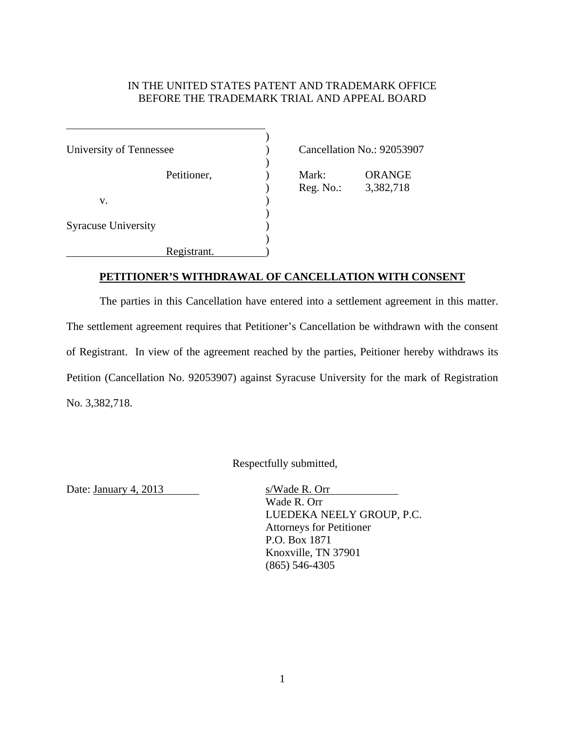## IN THE UNITED STATES PATENT AND TRADEMARK OFFICE BEFORE THE TRADEMARK TRIAL AND APPEAL BOARD

| University of Tennessee    |             |  |
|----------------------------|-------------|--|
|                            | Petitioner, |  |
| V.                         |             |  |
| <b>Syracuse University</b> |             |  |
|                            | Registrant. |  |

 $\overline{a}$ 

Cancellation No.: 92053907

Mark: ORANGE ) Reg. No.: 3,382,718

## **PETITIONER'S WITHDRAWAL OF CANCELLATION WITH CONSENT**

The parties in this Cancellation have entered into a settlement agreement in this matter. The settlement agreement requires that Petitioner's Cancellation be withdrawn with the consent of Registrant. In view of the agreement reached by the parties, Peitioner hereby withdraws its Petition (Cancellation No. 92053907) against Syracuse University for the mark of Registration No. 3,382,718.

Respectfully submitted,

Date: January 4, 2013 s/Wade R. Orr

Wade R. Orr LUEDEKA NEELY GROUP, P.C. Attorneys for Petitioner P.O. Box 1871 Knoxville, TN 37901 (865) 546-4305